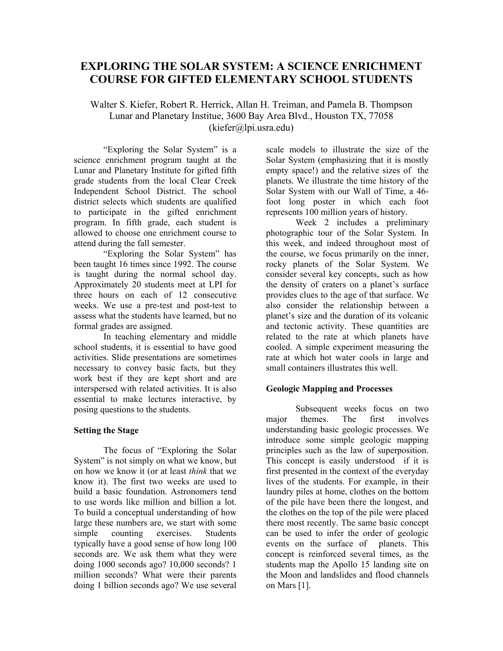# **EXPLORING THE SOLAR SYSTEM: A SCIENCE ENRICHMENT COURSE FOR GIFTED ELEMENTARY SCHOOL STUDENTS**

Walter S. Kiefer, Robert R. Herrick, Allan H. Treiman, and Pamela B. Thompson Lunar and Planetary Institue, 3600 Bay Area Blvd., Houston TX, 77058 (kiefer@lpi.usra.edu)

"Exploring the Solar System" is a science enrichment program taught at the Lunar and Planetary Institute for gifted fifth grade students from the local Clear Creek Independent School District. The school district selects which students are qualified to participate in the gifted enrichment program. In fifth grade, each student is allowed to choose one enrichment course to attend during the fall semester.

"Exploring the Solar System" has been taught 16 times since 1992. The course is taught during the normal school day. Approximately 20 students meet at LPI for three hours on each of 12 consecutive weeks. We use a pre-test and post-test to assess what the students have learned, but no formal grades are assigned.

In teaching elementary and middle school students, it is essential to have good activities. Slide presentations are sometimes necessary to convey basic facts, but they work best if they are kept short and are interspersed with related activities. It is also essential to make lectures interactive, by posing questions to the students.

#### **Setting the Stage**

The focus of "Exploring the Solar System" is not simply on what we know, but on how we know it (or at least *think* that we know it). The first two weeks are used to build a basic foundation. Astronomers tend to use words like million and billion a lot. To build a conceptual understanding of how large these numbers are, we start with some simple counting exercises. Students typically have a good sense of how long 100 seconds are. We ask them what they were doing 1000 seconds ago? 10,000 seconds? 1 million seconds? What were their parents doing 1 billion seconds ago? We use several scale models to illustrate the size of the Solar System (emphasizing that it is mostly empty space!) and the relative sizes of the planets. We illustrate the time history of the Solar System with our Wall of Time, a 46 foot long poster in which each foot represents 100 million years of history.

Week 2 includes a preliminary photographic tour of the Solar System. In this week, and indeed throughout most of the course, we focus primarily on the inner, rocky planets of the Solar System. We consider several key concepts, such as how the density of craters on a planet's surface provides clues to the age of that surface. We also consider the relationship between a planet's size and the duration of its volcanic and tectonic activity. These quantities are related to the rate at which planets have cooled. A simple experiment measuring the rate at which hot water cools in large and small containers illustrates this well.

## **Geologic Mapping and Processes**

Subsequent weeks focus on two major themes. The first involves understanding basic geologic processes. We introduce some simple geologic mapping principles such as the law of superposition. This concept is easily understood if it is first presented in the context of the everyday lives of the students. For example, in their laundry piles at home, clothes on the bottom of the pile have been there the longest, and the clothes on the top of the pile were placed there most recently. The same basic concept can be used to infer the order of geologic events on the surface of planets. This concept is reinforced several times, as the students map the Apollo 15 landing site on the Moon and landslides and flood channels on Mars [1].